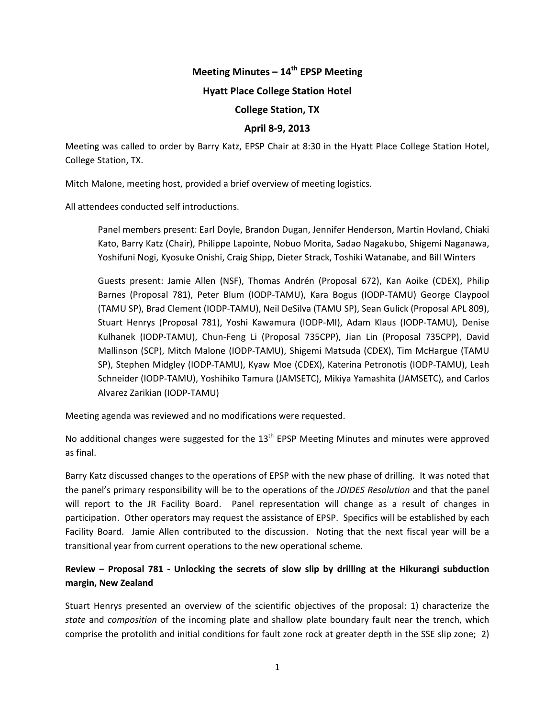# Meeting Minutes – 14<sup>th</sup> EPSP Meeting

#### **Hyatt Place College Station Hotel**

#### **College Station, TX**

#### **April'8?9,'2013**

Meeting was called to order by Barry Katz, EPSP Chair at 8:30 in the Hyatt Place College Station Hotel, College Station, TX.

Mitch Malone, meeting host, provided a brief overview of meeting logistics.

All attendees conducted self introductions.

Panel members present: Earl Doyle, Brandon Dugan, Jennifer Henderson, Martin Hovland, Chiaki Kato, Barry Katz (Chair), Philippe Lapointe, Nobuo Morita, Sadao Nagakubo, Shigemi Naganawa, Yoshifuni Nogi, Kyosuke Onishi, Craig Shipp, Dieter Strack, Toshiki Watanabe, and Bill Winters

Guests present: Jamie Allen (NSF), Thomas Andrén (Proposal 672), Kan Aoike (CDEX), Philip Barnes (Proposal 781), Peter Blum (IODP-TAMU), Kara Bogus (IODP-TAMU) George Claypool (TAMU SP), Brad Clement (IODP-TAMU), Neil DeSilva (TAMU SP), Sean Gulick (Proposal APL 809), Stuart Henrys (Proposal 781), Yoshi Kawamura (IODP-MI), Adam Klaus (IODP-TAMU), Denise Kulhanek (IODP-TAMU), Chun-Feng Li (Proposal 735CPP), Jian Lin (Proposal 735CPP), David Mallinson (SCP), Mitch Malone (IODP-TAMU), Shigemi Matsuda (CDEX), Tim McHargue (TAMU SP), Stephen Midgley (IODP-TAMU), Kyaw Moe (CDEX), Katerina Petronotis (IODP-TAMU), Leah Schneider (IODP-TAMU), Yoshihiko Tamura (JAMSETC), Mikiya Yamashita (JAMSETC), and Carlos Alvarez Zarikian (IODP-TAMU)

Meeting agenda was reviewed and no modifications were requested.

No additional changes were suggested for the  $13<sup>th</sup>$  EPSP Meeting Minutes and minutes were approved as final.

Barry Katz discussed changes to the operations of EPSP with the new phase of drilling. It was noted that the panel's primary responsibility will be to the operations of the *JOIDES Resolution* and that the panel will report to the JR Facility Board. Panel representation will change as a result of changes in participation. "Other operators may request the assistance of EPSP. Specifics will be established by each Facility Board. Jamie Allen contributed to the discussion. Noting that the next fiscal year will be a transitional year from current operations to the new operational scheme.

## **Review – Proposal 781 - Unlocking the secrets of slow slip by drilling at the Hikurangi subduction** margin, New Zealand

Stuart Henrys presented an overview of the scientific objectives of the proposal: 1) characterize the *state* and *composition* of the incoming plate and shallow plate boundary fault near the trench, which comprise the protolith and initial conditions for fault zone rock at greater depth in the SSE slip zone; 2)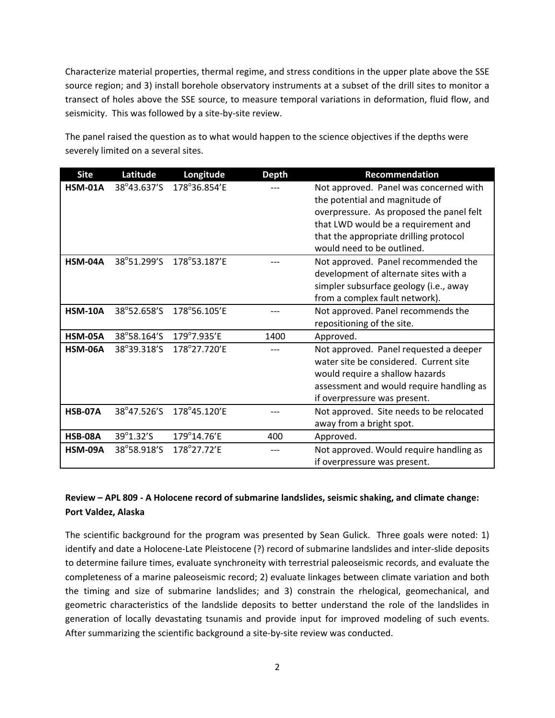Characterize material properties, thermal regime, and stress conditions in the upper plate above the SSE source region; and 3) install borehole observatory instruments at a subset of the drill sites to monitor a transect of holes above the SSE source, to measure temporal variations in deformation, fluid flow, and seismicity. This was followed by a site-by-site review.

| <b>Site</b>    | Latitude    | Longitude    | <b>Depth</b> | Recommendation                                                                                                                                                                                                                      |
|----------------|-------------|--------------|--------------|-------------------------------------------------------------------------------------------------------------------------------------------------------------------------------------------------------------------------------------|
| <b>HSM-01A</b> | 38°43.637'S | 178°36.854'E |              | Not approved. Panel was concerned with<br>the potential and magnitude of<br>overpressure. As proposed the panel felt<br>that LWD would be a requirement and<br>that the appropriate drilling protocol<br>would need to be outlined. |
| HSM-04A        | 38°51.299'S | 178°53.187'E |              | Not approved. Panel recommended the<br>development of alternate sites with a<br>simpler subsurface geology (i.e., away<br>from a complex fault network).                                                                            |
| <b>HSM-10A</b> | 38°52.658'S | 178°56.105'E |              | Not approved. Panel recommends the<br>repositioning of the site.                                                                                                                                                                    |
| <b>HSM-05A</b> | 38°58.164'S | 179°7.935'E  | 1400         | Approved.                                                                                                                                                                                                                           |
| HSM-06A        | 38°39.318'S | 178°27.720'E |              | Not approved. Panel requested a deeper<br>water site be considered. Current site<br>would require a shallow hazards<br>assessment and would require handling as<br>if overpressure was present.                                     |
| <b>HSB-07A</b> | 38°47.526'S | 178°45.120'E |              | Not approved. Site needs to be relocated<br>away from a bright spot.                                                                                                                                                                |
| <b>HSB-08A</b> | 39°1.32'S   | 179°14.76'E  | 400          | Approved.                                                                                                                                                                                                                           |
| HSM-09A        | 38°58.918'S | 178°27.72'E  |              | Not approved. Would require handling as<br>if overpressure was present.                                                                                                                                                             |

The panel raised the question as to what would happen to the science objectives if the depths were severely limited on a several sites.

### Review - APL 809 - A Holocene record of submarine landslides, seismic shaking, and climate change: Port Valdez, Alaska

The scientific background for the program was presented by Sean Gulick. Three goals were noted: 1) identify and date a Holocene-Late Pleistocene (?) record of submarine landslides and inter-slide deposits to determine failure times, evaluate synchroneity with terrestrial paleoseismic records, and evaluate the completeness of a marine paleoseismic record; 2) evaluate linkages between climate variation and both the timing and size of submarine landslides; and 3) constrain the rhelogical, geomechanical, and geometric characteristics of the landslide deposits to better understand the role of the landslides in generation of locally devastating tsunamis and provide input for improved modeling of such events. After summarizing the scientific background a site-by-site review was conducted.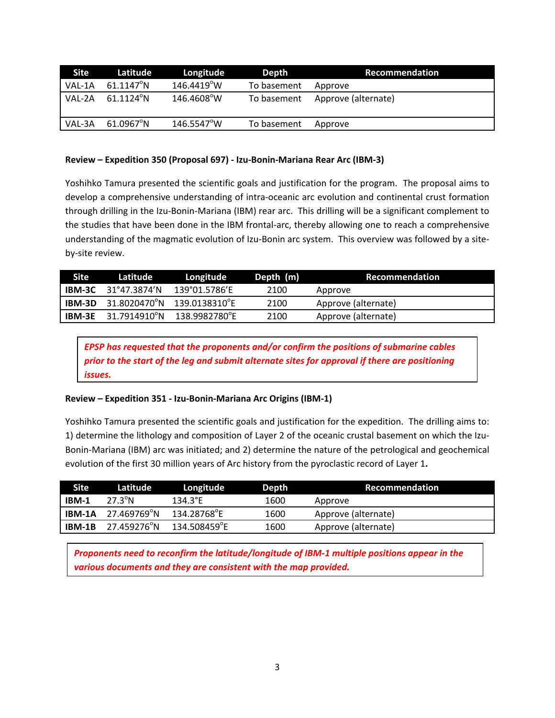| Site   | Latitude            | Longitude            | Depth       | Recommendation      |
|--------|---------------------|----------------------|-------------|---------------------|
| VAL-1A | $61.1147^{\circ}$ N | $146.4419^{\circ}$ W | To basement | Approve             |
| VAL-2A | $61.1124^{\circ}$ N | 146.4608°W           | To basement | Approve (alternate) |
| VAL-3A | $61.0967^{\circ}N$  | 146.5547°W           | To basement | Approve             |

#### Review – Expedition 350 (Proposal 697) - Izu-Bonin-Mariana Rear Arc (IBM-3)

Yoshihko Tamura presented the scientific goals and justification for the program. The proposal aims to develop a comprehensive understanding of intra-oceanic arc evolution and continental crust formation through drilling in the Izu-Bonin-Mariana (IBM) rear arc. This drilling will be a significant complement to the studies that have been done in the IBM frontal-arc, thereby allowing one to reach a comprehensive understanding of the magmatic evolution of Izu-Bonin arc system. This overview was followed by a siteby-site review.

| <b>Site</b>   | Latitude                            | Longitude     | Depth (m) | <b>Recommendation</b> |
|---------------|-------------------------------------|---------------|-----------|-----------------------|
|               | <b>IBM-3C</b> $31^{\circ}47.3874'N$ | 139°01.5786′E | 2100      | Approve               |
|               | <b>IBM-3D</b> 31.8020470°N          | 139.0138310°E | 2100      | Approve (alternate)   |
| <b>IBM-3E</b> | 31.7914910°N                        | 138.9982780°F | 2100      | Approve (alternate)   |

*EPSP has requested that the proponents and/or confirm the positions of submarine cables prior to the start of the leg and submit alternate sites for approval if there are positioning issues.*

#### **Review'– Expedition'351 ? Izu?Bonin?Mariana'Arc'Origins'(IBM?1)**

Yoshihko Tamura presented the scientific goals and justification for the expedition. The drilling aims to: 1) determine the lithology and composition of Layer 2 of the oceanic crustal basement on which the Izu-Bonin-Mariana (IBM) arc was initiated; and 2) determine the nature of the petrological and geochemical evolution of the first 30 million years of Arc history from the pyroclastic record of Layer 1.

| Site   | Latitude         | Longitude                | Depth | <b>Recommendation</b> |
|--------|------------------|--------------------------|-------|-----------------------|
| IBM-1  | $27.3^{\circ}$ N | 134.3°E                  | 1600  | Approve               |
| IBM-1A | 27.469769°N      | 134.28768 <sup>°</sup> E | 1600  | Approve (alternate)   |
| IBM-1B | 27.459276°N      | 134.508459°E             | 1600  | Approve (alternate)   |

*Proponents need to reconfirm the latitude/longitude of IBM-1 multiple positions appear in the* various documents and they are consistent with the map provided.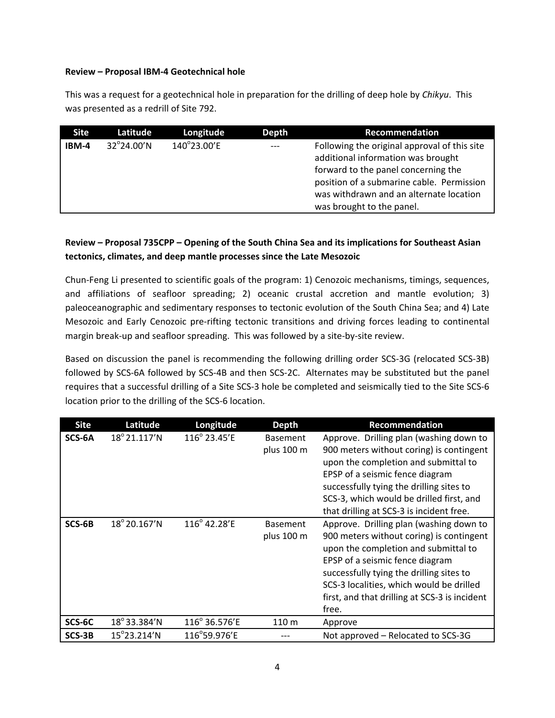#### Review – Proposal IBM-4 Geotechnical hole

This was a request for a geotechnical hole in preparation for the drilling of deep hole by *Chikyu*. This was presented as a redrill of Site 792.

| <b>Site</b> | Latitude   | Longitude   | <b>Depth</b> | Recommendation                                                                                                                                                                                                                                 |
|-------------|------------|-------------|--------------|------------------------------------------------------------------------------------------------------------------------------------------------------------------------------------------------------------------------------------------------|
| IBM-4       | 32°24.00'N | 140°23.00'E | $---$        | Following the original approval of this site<br>additional information was brought<br>forward to the panel concerning the<br>position of a submarine cable. Permission<br>was withdrawn and an alternate location<br>was brought to the panel. |

### Review – Proposal 735CPP – Opening of the South China Sea and its implications for Southeast Asian tectonics, climates, and deep mantle processes since the Late Mesozoic

Chun-Feng Li presented to scientific goals of the program: 1) Cenozoic mechanisms, timings, sequences, and affiliations of seafloor spreading; 2) oceanic crustal accretion and mantle evolution; 3) paleoceanographic and sedimentary responses to tectonic evolution of the South China Sea; and 4) Late Mesozoic and Early Cenozoic pre-rifting tectonic transitions and driving forces leading to continental margin break-up and seafloor spreading. This was followed by a site-by-site review.

Based on discussion the panel is recommending the following drilling order SCS-3G (relocated SCS-3B) followed by SCS-6A followed by SCS-4B and then SCS-2C. Alternates may be substituted but the panel requires that a successful drilling of a Site SCS-3 hole be completed and seismically tied to the Site SCS-6 location prior to the drilling of the SCS-6 location.

| <b>Site</b> | Latitude               | Longitude             | <b>Depth</b>                  | <b>Recommendation</b>                                                                                                                                                                                                                                                                                            |
|-------------|------------------------|-----------------------|-------------------------------|------------------------------------------------------------------------------------------------------------------------------------------------------------------------------------------------------------------------------------------------------------------------------------------------------------------|
| SCS-6A      | $18^{\circ} 21.117' N$ | $116^{\circ}$ 23.45'E | <b>Basement</b><br>plus 100 m | Approve. Drilling plan (washing down to<br>900 meters without coring) is contingent<br>upon the completion and submittal to<br>EPSP of a seismic fence diagram<br>successfully tying the drilling sites to<br>SCS-3, which would be drilled first, and<br>that drilling at SCS-3 is incident free.               |
| SCS-6B      | $18^{\circ}$ 20.167'N  | $116^{\circ}$ 42.28'E | <b>Basement</b><br>plus 100 m | Approve. Drilling plan (washing down to<br>900 meters without coring) is contingent<br>upon the completion and submittal to<br>EPSP of a seismic fence diagram<br>successfully tying the drilling sites to<br>SCS-3 localities, which would be drilled<br>first, and that drilling at SCS-3 is incident<br>free. |
| SCS-6C      | 18°33.384'N            | 116° 36.576'E         | 110 m                         | Approve                                                                                                                                                                                                                                                                                                          |
| SCS-3B      | $15^{\circ}$ 23.214'N  | 116°59.976'E          |                               | Not approved – Relocated to SCS-3G                                                                                                                                                                                                                                                                               |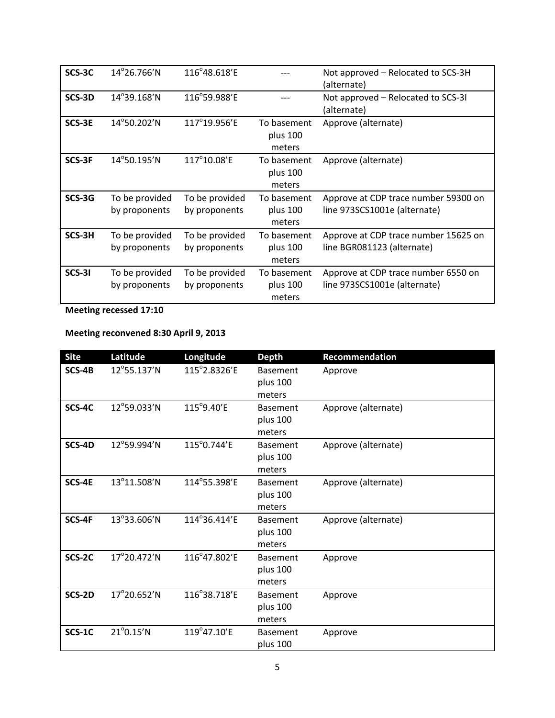| SCS-3C | $14^{\circ}$ 26.766'N           | 116°48.618'E                    |                                   | Not approved – Relocated to SCS-3H<br>(alternate)                    |
|--------|---------------------------------|---------------------------------|-----------------------------------|----------------------------------------------------------------------|
| SCS-3D | $14^{\circ}39.168'$ N           | 116°59.988'E                    |                                   | Not approved – Relocated to SCS-31<br>(alternate)                    |
| SCS-3E | 14°50.202'N                     | 117°19.956'E                    | To basement<br>plus 100<br>meters | Approve (alternate)                                                  |
| SCS-3F | 14°50.195'N                     | 117°10.08'E                     | To basement<br>plus 100<br>meters | Approve (alternate)                                                  |
| SCS-3G | To be provided<br>by proponents | To be provided<br>by proponents | To basement<br>plus 100<br>meters | Approve at CDP trace number 59300 on<br>line 973SCS1001e (alternate) |
| SCS-3H | To be provided<br>by proponents | To be provided<br>by proponents | To basement<br>plus 100<br>meters | Approve at CDP trace number 15625 on<br>line BGR081123 (alternate)   |
| SCS-31 | To be provided<br>by proponents | To be provided<br>by proponents | To basement<br>plus 100<br>meters | Approve at CDP trace number 6550 on<br>line 973SCS1001e (alternate)  |

**Meeting recessed 17:10** 

## Meeting reconvened 8:30 April 9, 2013

| <b>Site</b> | Latitude            | Longitude    | <b>Depth</b>                          | Recommendation      |
|-------------|---------------------|--------------|---------------------------------------|---------------------|
| SCS-4B      | 12°55.137'N         | 115°2.8326'E | <b>Basement</b><br>plus 100<br>meters | Approve             |
| SCS-4C      | 12°59.033'N         | 115°9.40'E   | <b>Basement</b><br>plus 100<br>meters | Approve (alternate) |
| SCS-4D      | 12°59.994'N         | 115°0.744'E  | <b>Basement</b><br>plus 100<br>meters | Approve (alternate) |
| SCS-4E      | 13°11.508'N         | 114°55.398'E | <b>Basement</b><br>plus 100<br>meters | Approve (alternate) |
| SCS-4F      | 13°33.606'N         | 114°36.414'E | <b>Basement</b><br>plus 100<br>meters | Approve (alternate) |
| SCS-2C      | 17°20.472'N         | 116°47.802'E | <b>Basement</b><br>plus 100<br>meters | Approve             |
| SCS-2D      | 17°20.652'N         | 116°38.718'E | <b>Basement</b><br>plus 100<br>meters | Approve             |
| SCS-1C      | $21^{\circ}0.15'$ N | 119°47.10'E  | <b>Basement</b><br>plus 100           | Approve             |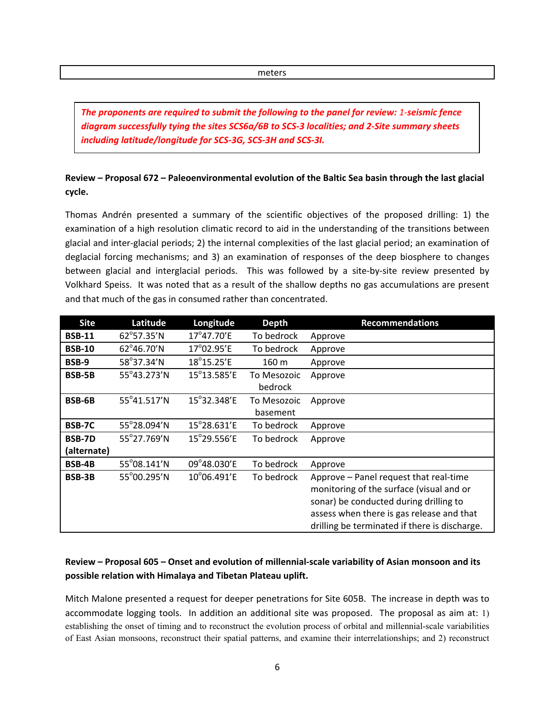meters

*The\$proponents\$are\$required\$to\$submit\$the\$following\$to\$the\$panel\$for\$review: 1:seismic\$fence\$* diagram successfully tying the sites SCS6a/6B to SCS-3 localities; and 2-Site summary sheets including latitude/longitude for SCS-3G, SCS-3H and SCS-3I.

## Review – Proposal 672 – Paleoenvironmental evolution of the Baltic Sea basin through the last glacial **cycle.**

Thomas Andrén presented a summary of the scientific objectives of the proposed drilling: 1) the examination of a high resolution climatic record to aid in the understanding of the transitions between glacial and inter-glacial periods; 2) the internal complexities of the last glacial period; an examination of deglacial forcing mechanisms; and 3) an examination of responses of the deep biosphere to changes between glacial and interglacial periods. This was followed by a site-by-site review presented by Volkhard Speiss. It was noted that as a result of the shallow depths no gas accumulations are present and that much of the gas in consumed rather than concentrated.

| <b>Site</b>   | Latitude    | Longitude                    | <b>Depth</b> | <b>Recommendations</b>                        |
|---------------|-------------|------------------------------|--------------|-----------------------------------------------|
| <b>BSB-11</b> | 62°57.35'N  | $17^{\circ}47.70^{\prime}$ E | To bedrock   | Approve                                       |
| <b>BSB-10</b> | 62°46.70'N  | 17°02.95'E                   | To bedrock   | Approve                                       |
| <b>BSB-9</b>  | 58°37.34'N  | 18°15.25'E                   | 160 m        | Approve                                       |
| <b>BSB-5B</b> | 55°43.273'N | 15°13.585'E                  | To Mesozoic  | Approve                                       |
|               |             |                              | bedrock      |                                               |
| <b>BSB-6B</b> | 55°41.517'N | $15^{\circ}32.348'E$         | To Mesozoic  | Approve                                       |
|               |             |                              | basement     |                                               |
| <b>BSB-7C</b> | 55°28.094'N | $15^{\circ}28.631'E$         | To bedrock   | Approve                                       |
| <b>BSB-7D</b> | 55°27.769'N | 15°29.556'E                  | To bedrock   | Approve                                       |
| (alternate)   |             |                              |              |                                               |
| <b>BSB-4B</b> | 55°08.141'N | 09°48.030'E                  | To bedrock   | Approve                                       |
| <b>BSB-3B</b> | 55°00.295'N | $10^{\circ}$ 06.491'E        | To bedrock   | Approve - Panel request that real-time        |
|               |             |                              |              | monitoring of the surface (visual and or      |
|               |             |                              |              | sonar) be conducted during drilling to        |
|               |             |                              |              | assess when there is gas release and that     |
|               |             |                              |              | drilling be terminated if there is discharge. |

## Review – Proposal 605 – Onset and evolution of millennial-scale variability of Asian monsoon and its possible relation with Himalaya and Tibetan Plateau uplift.

Mitch Malone presented a request for deeper penetrations for Site 605B. The increase in depth was to accommodate logging tools. In addition an additional site was proposed. The proposal as aim at: 1) establishing the onset of timing and to reconstruct the evolution process of orbital and millennial-scale variabilities of East Asian monsoons, reconstruct their spatial patterns, and examine their interrelationships; and 2) reconstruct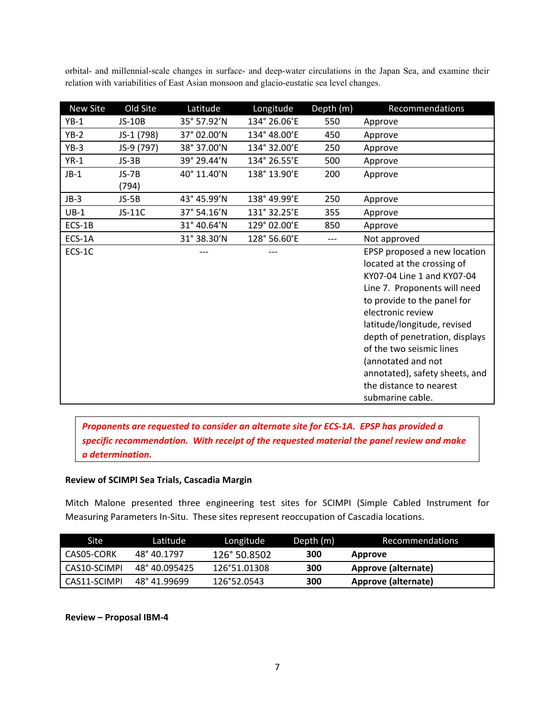orbital- and millennial-scale changes in surface- and deep-water circulations in the Japan Sea, and examine their relation with variabilities of East Asian monsoon and glacio-eustatic sea level changes.

| New Site | Old Site      | Latitude    | Longitude    | Depth (m) | Recommendations                |
|----------|---------------|-------------|--------------|-----------|--------------------------------|
| $YB-1$   | <b>JS-10B</b> | 35° 57.92'N | 134° 26.06'E | 550       | Approve                        |
| $YB-2$   | JS-1 (798)    | 37° 02.00'N | 134° 48.00'E | 450       | Approve                        |
| $YB-3$   | JS-9 (797)    | 38° 37.00'N | 134° 32.00'E | 250       | Approve                        |
| $YR-1$   | $JS-3B$       | 39° 29.44'N | 134° 26.55'E | 500       | Approve                        |
| $JB-1$   | $JS-7B$       | 40° 11.40'N | 138° 13.90'E | 200       | Approve                        |
|          | (794)         |             |              |           |                                |
| $JB-3$   | $JS-5B$       | 43° 45.99'N | 138° 49.99'E | 250       | Approve                        |
| $UB-1$   | JS-11C        | 37° 54.16'N | 131° 32.25'E | 355       | Approve                        |
| ECS-1B   |               | 31° 40.64'N | 129° 02.00'E | 850       | Approve                        |
| ECS-1A   |               | 31° 38.30'N | 128° 56.60'E | $---$     | Not approved                   |
| ECS-1C   |               |             |              |           | EPSP proposed a new location   |
|          |               |             |              |           | located at the crossing of     |
|          |               |             |              |           | KY07-04 Line 1 and KY07-04     |
|          |               |             |              |           | Line 7. Proponents will need   |
|          |               |             |              |           | to provide to the panel for    |
|          |               |             |              |           | electronic review              |
|          |               |             |              |           | latitude/longitude, revised    |
|          |               |             |              |           | depth of penetration, displays |
|          |               |             |              |           | of the two seismic lines       |
|          |               |             |              |           | (annotated and not             |
|          |               |             |              |           | annotated), safety sheets, and |
|          |               |             |              |           | the distance to nearest        |
|          |               |             |              |           | submarine cable.               |

*Proponents are requested to consider an alternate site for ECS-1A. EPSP has provided a* specific recommendation. With receipt of the requested material the panel review and make *a\$determination.*

#### **Review of SCIMPI Sea Trials, Cascadia Margin**

Mitch Malone presented three engineering test sites for SCIMPI (Simple Cabled Instrument for Measuring Parameters In-Situ. These sites represent reoccupation of Cascadia locations.

| Site !       | Latitude      | Longitude    | Depth (m) | <b>Recommendations</b> |
|--------------|---------------|--------------|-----------|------------------------|
| CAS05-CORK   | 48° 40.1797   | 126° 50.8502 | 300       | Approve                |
| CAS10-SCIMPI | 48° 40.095425 | 126°51.01308 | 300       | Approve (alternate)    |
| CAS11-SCIMPI | 48° 41.99699  | 126°52.0543  | 300       | Approve (alternate)    |

#### Review - Proposal IBM-4